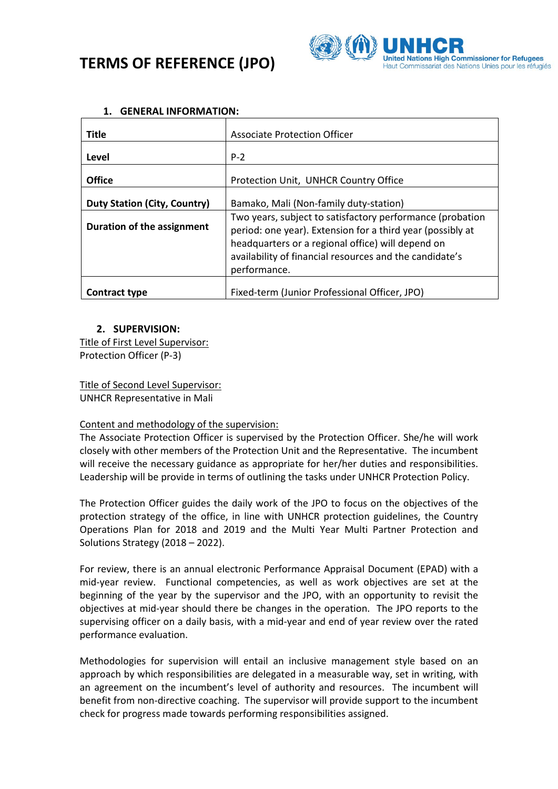# **TERMS OF REFERENCE (JPO)**



| <b>Title</b>                        | <b>Associate Protection Officer</b>                                                                                     |  |  |
|-------------------------------------|-------------------------------------------------------------------------------------------------------------------------|--|--|
| Level                               | $P-2$                                                                                                                   |  |  |
| <b>Office</b>                       | Protection Unit, UNHCR Country Office                                                                                   |  |  |
| <b>Duty Station (City, Country)</b> | Bamako, Mali (Non-family duty-station)                                                                                  |  |  |
| Duration of the assignment          | Two years, subject to satisfactory performance (probation<br>period: one year). Extension for a third year (possibly at |  |  |
|                                     | headquarters or a regional office) will depend on                                                                       |  |  |
|                                     | availability of financial resources and the candidate's<br>performance.                                                 |  |  |
| <b>Contract type</b>                | Fixed-term (Junior Professional Officer, JPO)                                                                           |  |  |

### **1. GENERAL INFORMATION:**

## **2. SUPERVISION:**

Title of First Level Supervisor: Protection Officer (P-3)

Title of Second Level Supervisor: UNHCR Representative in Mali

#### Content and methodology of the supervision:

The Associate Protection Officer is supervised by the Protection Officer. She/he will work closely with other members of the Protection Unit and the Representative. The incumbent will receive the necessary guidance as appropriate for her/her duties and responsibilities. Leadership will be provide in terms of outlining the tasks under UNHCR Protection Policy.

The Protection Officer guides the daily work of the JPO to focus on the objectives of the protection strategy of the office, in line with UNHCR protection guidelines, the Country Operations Plan for 2018 and 2019 and the Multi Year Multi Partner Protection and Solutions Strategy (2018 – 2022).

For review, there is an annual electronic Performance Appraisal Document (EPAD) with a mid-year review. Functional competencies, as well as work objectives are set at the beginning of the year by the supervisor and the JPO, with an opportunity to revisit the objectives at mid-year should there be changes in the operation. The JPO reports to the supervising officer on a daily basis, with a mid-year and end of year review over the rated performance evaluation.

Methodologies for supervision will entail an inclusive management style based on an approach by which responsibilities are delegated in a measurable way, set in writing, with an agreement on the incumbent's level of authority and resources. The incumbent will benefit from non-directive coaching. The supervisor will provide support to the incumbent check for progress made towards performing responsibilities assigned.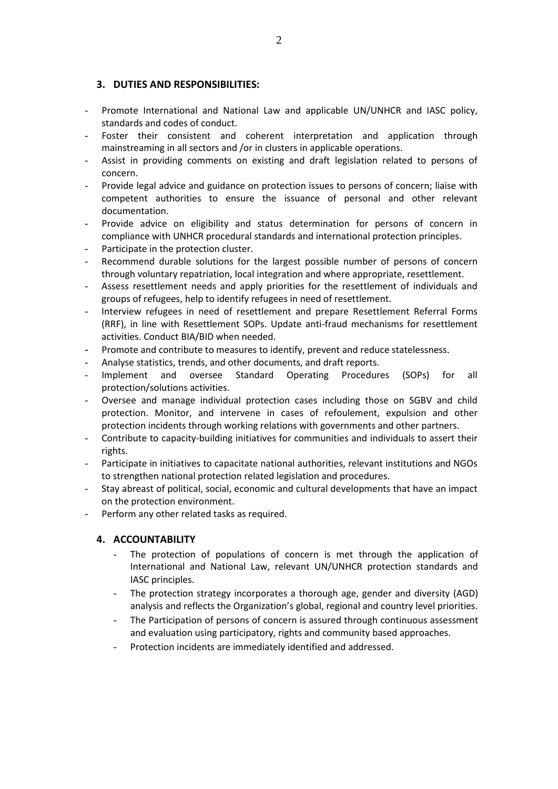## **3. DUTIES AND RESPONSIBILITIES:**

- Promote International and National Law and applicable UN/UNHCR and IASC policy, standards and codes of conduct.
- Foster their consistent and coherent interpretation and application through mainstreaming in all sectors and /or in clusters in applicable operations.
- Assist in providing comments on existing and draft legislation related to persons of concern.
- Provide legal advice and guidance on protection issues to persons of concern; liaise with competent authorities to ensure the issuance of personal and other relevant documentation.
- Provide advice on eligibility and status determination for persons of concern in compliance with UNHCR procedural standards and international protection principles.
- Participate in the protection cluster.
- Recommend durable solutions for the largest possible number of persons of concern through voluntary repatriation, local integration and where appropriate, resettlement.
- Assess resettlement needs and apply priorities for the resettlement of individuals and groups of refugees, help to identify refugees in need of resettlement.
- Interview refugees in need of resettlement and prepare Resettlement Referral Forms (RRF), in line with Resettlement SOPs. Update anti-fraud mechanisms for resettlement activities. Conduct BIA/BID when needed.
- Promote and contribute to measures to identify, prevent and reduce statelessness.
- Analyse statistics, trends, and other documents, and draft reports.
- Implement and oversee Standard Operating Procedures (SOPs) for all protection/solutions activities.
- Oversee and manage individual protection cases including those on SGBV and child protection. Monitor, and intervene in cases of refoulement, expulsion and other protection incidents through working relations with governments and other partners.
- Contribute to capacity-building initiatives for communities and individuals to assert their rights.
- Participate in initiatives to capacitate national authorities, relevant institutions and NGOs to strengthen national protection related legislation and procedures.
- Stay abreast of political, social, economic and cultural developments that have an impact on the protection environment.
- Perform any other related tasks as required.

#### **4. ACCOUNTABILITY**

- The protection of populations of concern is met through the application of International and National Law, relevant UN/UNHCR protection standards and IASC principles.
- The protection strategy incorporates a thorough age, gender and diversity (AGD) analysis and reflects the Organization's global, regional and country level priorities.
- The Participation of persons of concern is assured through continuous assessment and evaluation using participatory, rights and community based approaches.
- Protection incidents are immediately identified and addressed.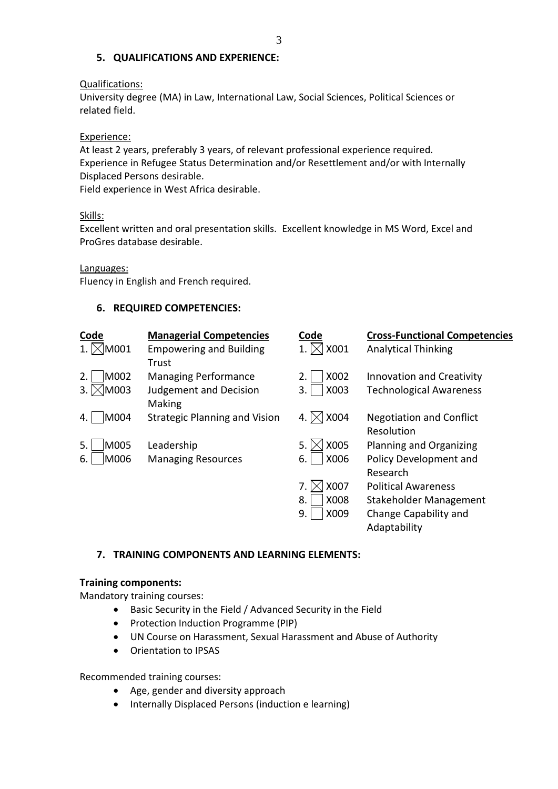## **5. QUALIFICATIONS AND EXPERIENCE:**

#### Qualifications:

University degree (MA) in Law, International Law, Social Sciences, Political Sciences or related field.

#### Experience:

At least 2 years, preferably 3 years, of relevant professional experience required. Experience in Refugee Status Determination and/or Resettlement and/or with Internally Displaced Persons desirable.

Field experience in West Africa desirable.

#### Skills:

Excellent written and oral presentation skills. Excellent knowledge in MS Word, Excel and ProGres database desirable.

Languages:

Fluency in English and French required.

## **6. REQUIRED COMPETENCIES:**

| <b>Code</b>          | <b>Managerial Competencies</b>          | Code       | <b>Cross-Functional Competencies</b>          |
|----------------------|-----------------------------------------|------------|-----------------------------------------------|
| $\triangleleft$ M001 | <b>Empowering and Building</b><br>Trust | X001       | <b>Analytical Thinking</b>                    |
| M002<br>2.           | <b>Managing Performance</b>             | X002<br>2. | <b>Innovation and Creativity</b>              |
| M003<br>3.           | <b>Judgement and Decision</b><br>Making | X003<br>3. | <b>Technological Awareness</b>                |
| M004<br>4.           | <b>Strategic Planning and Vision</b>    | X004       | <b>Negotiation and Conflict</b><br>Resolution |
| M005<br>5.           | Leadership                              | X005<br>5. | Planning and Organizing                       |
| M006<br>6.           | <b>Managing Resources</b>               | X006<br>6. | Policy Development and<br>Research            |
|                      |                                         | X007<br>7. | <b>Political Awareness</b>                    |
|                      |                                         | X008<br>8. | Stakeholder Management                        |
|                      |                                         | X009<br>9. | Change Capability and                         |
|                      |                                         |            | Adaptability                                  |

#### **7. TRAINING COMPONENTS AND LEARNING ELEMENTS:**

#### **Training components:**

Mandatory training courses:

- Basic Security in the Field / Advanced Security in the Field
- Protection Induction Programme (PIP)
- UN Course on Harassment, Sexual Harassment and Abuse of Authority
- Orientation to IPSAS

Recommended training courses:

- Age, gender and diversity approach
- Internally Displaced Persons (induction e learning)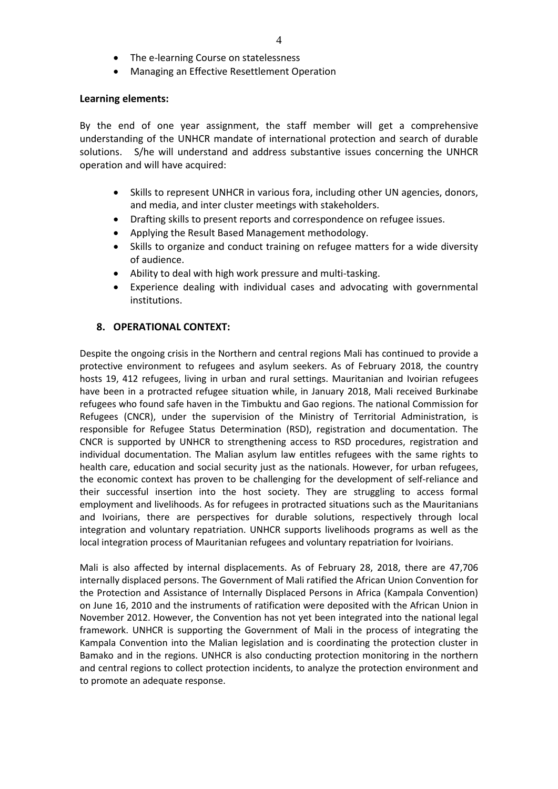- The e-learning Course on statelessness
- Managing an Effective Resettlement Operation

#### **Learning elements:**

By the end of one year assignment, the staff member will get a comprehensive understanding of the UNHCR mandate of international protection and search of durable solutions. S/he will understand and address substantive issues concerning the UNHCR operation and will have acquired:

- Skills to represent UNHCR in various fora, including other UN agencies, donors, and media, and inter cluster meetings with stakeholders.
- Drafting skills to present reports and correspondence on refugee issues.
- Applying the Result Based Management methodology.
- Skills to organize and conduct training on refugee matters for a wide diversity of audience.
- Ability to deal with high work pressure and multi-tasking.
- Experience dealing with individual cases and advocating with governmental institutions.

#### **8. OPERATIONAL CONTEXT:**

Despite the ongoing crisis in the Northern and central regions Mali has continued to provide a protective environment to refugees and asylum seekers. As of February 2018, the country hosts 19, 412 refugees, living in urban and rural settings. Mauritanian and Ivoirian refugees have been in a protracted refugee situation while, in January 2018, Mali received Burkinabe refugees who found safe haven in the Timbuktu and Gao regions. The national Commission for Refugees (CNCR), under the supervision of the Ministry of Territorial Administration, is responsible for Refugee Status Determination (RSD), registration and documentation. The CNCR is supported by UNHCR to strengthening access to RSD procedures, registration and individual documentation. The Malian asylum law entitles refugees with the same rights to health care, education and social security just as the nationals. However, for urban refugees, the economic context has proven to be challenging for the development of self-reliance and their successful insertion into the host society. They are struggling to access formal employment and livelihoods. As for refugees in protracted situations such as the Mauritanians and Ivoirians, there are perspectives for durable solutions, respectively through local integration and voluntary repatriation. UNHCR supports livelihoods programs as well as the local integration process of Mauritanian refugees and voluntary repatriation for Ivoirians.

Mali is also affected by internal displacements. As of February 28, 2018, there are 47,706 internally displaced persons. The Government of Mali ratified the African Union Convention for the Protection and Assistance of Internally Displaced Persons in Africa (Kampala Convention) on June 16, 2010 and the instruments of ratification were deposited with the African Union in November 2012. However, the Convention has not yet been integrated into the national legal framework. UNHCR is supporting the Government of Mali in the process of integrating the Kampala Convention into the Malian legislation and is coordinating the protection cluster in Bamako and in the regions. UNHCR is also conducting protection monitoring in the northern and central regions to collect protection incidents, to analyze the protection environment and to promote an adequate response.